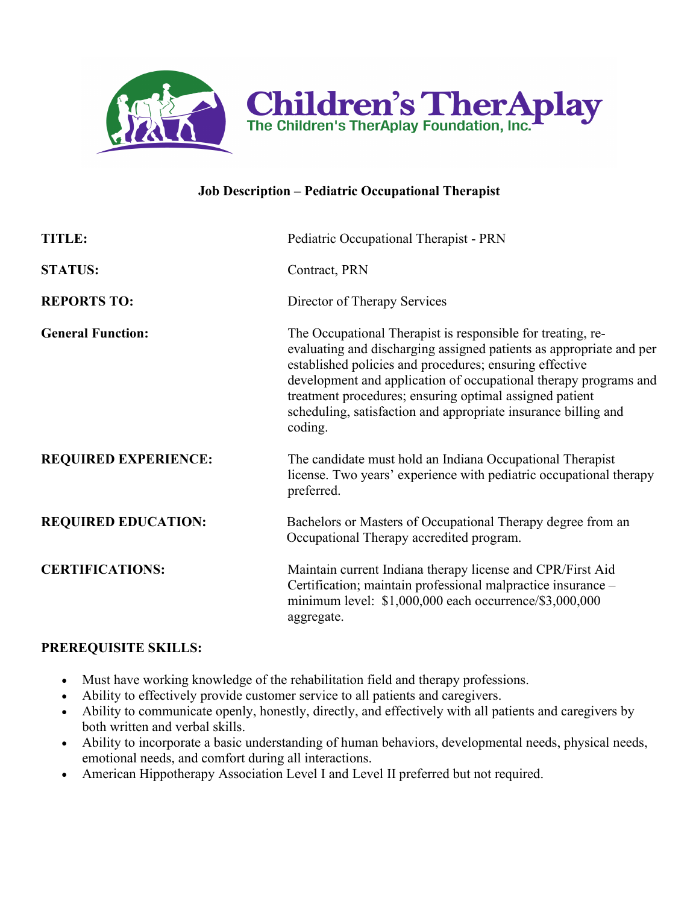

## **Job Description – Pediatric Occupational Therapist**

| TITLE:                      | Pediatric Occupational Therapist - PRN                                                                                                                                                                                                                                                                                                                                                                    |
|-----------------------------|-----------------------------------------------------------------------------------------------------------------------------------------------------------------------------------------------------------------------------------------------------------------------------------------------------------------------------------------------------------------------------------------------------------|
| <b>STATUS:</b>              | Contract, PRN                                                                                                                                                                                                                                                                                                                                                                                             |
| <b>REPORTS TO:</b>          | Director of Therapy Services                                                                                                                                                                                                                                                                                                                                                                              |
| <b>General Function:</b>    | The Occupational Therapist is responsible for treating, re-<br>evaluating and discharging assigned patients as appropriate and per<br>established policies and procedures; ensuring effective<br>development and application of occupational therapy programs and<br>treatment procedures; ensuring optimal assigned patient<br>scheduling, satisfaction and appropriate insurance billing and<br>coding. |
| <b>REQUIRED EXPERIENCE:</b> | The candidate must hold an Indiana Occupational Therapist<br>license. Two years' experience with pediatric occupational therapy<br>preferred.                                                                                                                                                                                                                                                             |
| <b>REQUIRED EDUCATION:</b>  | Bachelors or Masters of Occupational Therapy degree from an<br>Occupational Therapy accredited program.                                                                                                                                                                                                                                                                                                   |
| <b>CERTIFICATIONS:</b>      | Maintain current Indiana therapy license and CPR/First Aid<br>Certification; maintain professional malpractice insurance -<br>minimum level: \$1,000,000 each occurrence/\$3,000,000<br>aggregate.                                                                                                                                                                                                        |

#### **PREREQUISITE SKILLS:**

- Must have working knowledge of the rehabilitation field and therapy professions.
- Ability to effectively provide customer service to all patients and caregivers.
- Ability to communicate openly, honestly, directly, and effectively with all patients and caregivers by both written and verbal skills.
- Ability to incorporate a basic understanding of human behaviors, developmental needs, physical needs, emotional needs, and comfort during all interactions.
- American Hippotherapy Association Level I and Level II preferred but not required.